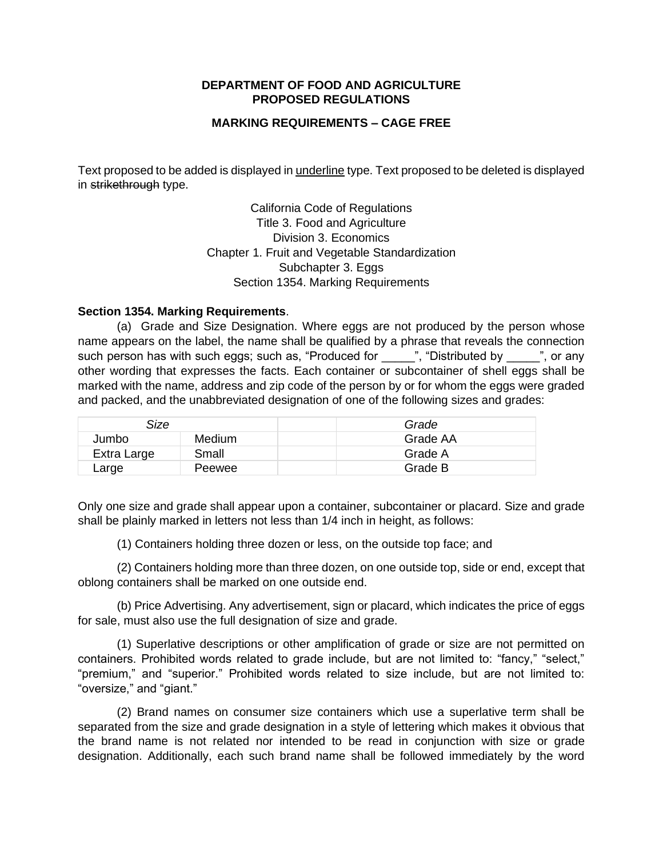## **DEPARTMENT OF FOOD AND AGRICULTURE PROPOSED REGULATIONS**

## **MARKING REQUIREMENTS – CAGE FREE**

Text proposed to be added is displayed in underline type. Text proposed to be deleted is displayed in strikethrough type.

> California Code of Regulations Title 3. Food and Agriculture Chapter 1. Fruit and Vegetable Standardization Subchapter 3. Eggs Division 3. Economics Section 1354. Marking Requirements

## **Section 1354. Marking Requirements**.

 (a) Grade and Size Designation. Where eggs are not produced by the person whose name appears on the label, the name shall be qualified by a phrase that reveals the connection such person has with such eggs; such as, "Produced for \_\_\_\_\_", "Distributed by \_\_\_\_\_\_", or any other wording that expresses the facts. Each container or subcontainer of shell eggs shall be marked with the name, address and zip code of the person by or for whom the eggs were graded and packed, and the unabbreviated designation of one of the following sizes and grades:

| Size        |               | Grade    |
|-------------|---------------|----------|
| Jumbo       | <b>Medium</b> | Grade AA |
| Extra Large | Small         | Grade A  |
| Large       | Peewee        | Grade B  |

 Only one size and grade shall appear upon a container, subcontainer or placard. Size and grade shall be plainly marked in letters not less than 1/4 inch in height, as follows:

(1) Containers holding three dozen or less, on the outside top face; and

 (2) Containers holding more than three dozen, on one outside top, side or end, except that oblong containers shall be marked on one outside end.

 (b) Price Advertising. Any advertisement, sign or placard, which indicates the price of eggs for sale, must also use the full designation of size and grade.

 (1) Superlative descriptions or other amplification of grade or size are not permitted on containers. Prohibited words related to grade include, but are not limited to: "fancy," "select," "premium," and "superior." Prohibited words related to size include, but are not limited to: "oversize," and "giant."

 (2) Brand names on consumer size containers which use a superlative term shall be separated from the size and grade designation in a style of lettering which makes it obvious that the brand name is not related nor intended to be read in conjunction with size or grade designation. Additionally, each such brand name shall be followed immediately by the word